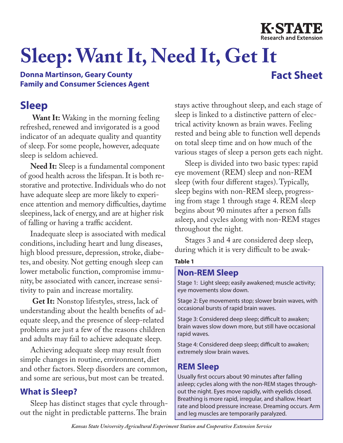

# **Sleep: Want It, Need It, Get It**

#### **Donna Martinson, Geary County Family and Consumer Sciences Agent**

## **Fact Sheet**

### **Sleep**

**Want It:** Waking in the morning feeling refreshed, renewed and invigorated is a good indicator of an adequate quality and quantity of sleep. For some people, however, adequate sleep is seldom achieved.

**Need It:** Sleep is a fundamental component of good health across the lifespan. It is both restorative and protective. Individuals who do not have adequate sleep are more likely to experience attention and memory difficulties, daytime sleepiness, lack of energy, and are at higher risk of falling or having a traffic accident.

Inadequate sleep is associated with medical conditions, including heart and lung diseases, high blood pressure, depression, stroke, diabetes, and obesity. Not getting enough sleep can lower metabolic function, compromise immunity, be associated with cancer, increase sensitivity to pain and increase mortality.

**Get It:** Nonstop lifestyles, stress, lack of understanding about the health benefits of adequate sleep, and the presence of sleep-related problems are just a few of the reasons children and adults may fail to achieve adequate sleep.

Achieving adequate sleep may result from simple changes in routine, environment, diet and other factors. Sleep disorders are common, and some are serious, but most can be treated.

#### **What is Sleep?**

Sleep has distinct stages that cycle throughout the night in predictable patterns. The brain

stays active throughout sleep, and each stage of sleep is linked to a distinctive pattern of electrical activity known as brain waves. Feeling rested and being able to function well depends on total sleep time and on how much of the various stages of sleep a person gets each night.

Sleep is divided into two basic types: rapid eye movement (REM) sleep and non-REM sleep (with four different stages). Typically, sleep begins with non-REM sleep, progressing from stage 1 through stage 4. REM sleep begins about 90 minutes after a person falls asleep, and cycles along with non-REM stages throughout the night.

Stages 3 and 4 are considered deep sleep, during which it is very difficult to be awak-

#### **Table 1**

#### **Non-REM Sleep**

Stage 1: Light sleep; easily awakened; muscle activity; eye movements slow down.

Stage 2: Eye movements stop; slower brain waves, with occasional bursts of rapid brain waves.

Stage 3: Considered deep sleep; difficult to awaken; brain waves slow down more, but still have occasional rapid waves.

Stage 4: Considered deep sleep; difficult to awaken; extremely slow brain waves.

#### **REM Sleep**

Usually first occurs about 90 minutes after falling asleep; cycles along with the non-REM stages throughout the night. Eyes move rapidly, with eyelids closed. Breathing is more rapid, irregular, and shallow. Heart rate and blood pressure increase. Dreaming occurs. Arm and leg muscles are temporarily paralyzed.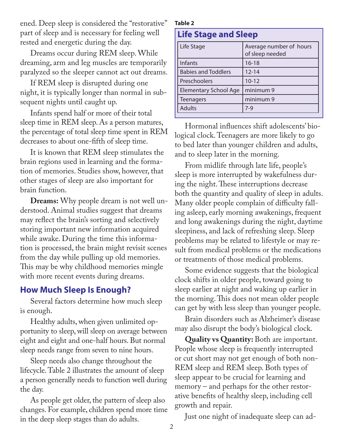ened. Deep sleep is considered the "restorative" part of sleep and is necessary for feeling well rested and energetic during the day.

Dreams occur during REM sleep. While dreaming, arm and leg muscles are temporarily paralyzed so the sleeper cannot act out dreams.

If REM sleep is disrupted during one night, it is typically longer than normal in subsequent nights until caught up.

Infants spend half or more of their total sleep time in REM sleep. As a person matures, the percentage of total sleep time spent in REM decreases to about one-fifth of sleep time.

It is known that REM sleep stimulates the brain regions used in learning and the formation of memories. Studies show, however, that other stages of sleep are also important for brain function.

**Dreams:** Why people dream is not well understood. Animal studies suggest that dreams may reflect the brain's sorting and selectively storing important new information acquired while awake. During the time this information is processed, the brain might revisit scenes from the day while pulling up old memories. This may be why childhood memories mingle with more recent events during dreams.

#### **How Much Sleep Is Enough?**

Several factors determine how much sleep is enough.

Healthy adults, when given unlimited opportunity to sleep, will sleep on average between eight and eight and one-half hours. But normal sleep needs range from seven to nine hours.

Sleep needs also change throughout the lifecycle. Table 2 illustrates the amount of sleep a person generally needs to function well during the day.

As people get older, the pattern of sleep also changes. For example, children spend more time in the deep sleep stages than do adults.

#### **Table 2**

| <b>Life Stage and Sleep</b>  |                                            |
|------------------------------|--------------------------------------------|
| Life Stage                   | Average number of hours<br>of sleep needed |
| Infants                      | $16 - 18$                                  |
| <b>Babies and Toddlers</b>   | $12 - 14$                                  |
| Preschoolers                 | $10 - 12$                                  |
| <b>Elementary School Age</b> | minimum 9                                  |
| <b>Teenagers</b>             | minimum 9                                  |
| <b>Adults</b>                | $7-9$                                      |

Hormonal influences shift adolescents' biological clock. Teenagers are more likely to go to bed later than younger children and adults, and to sleep later in the morning.

From midlife through late life, people's sleep is more interrupted by wakefulness during the night. These interruptions decrease both the quantity and quality of sleep in adults. Many older people complain of difficulty falling asleep, early morning awakenings, frequent and long awakenings during the night, daytime sleepiness, and lack of refreshing sleep. Sleep problems may be related to lifestyle or may result from medical problems or the medications or treatments of those medical problems.

Some evidence suggests that the biological clock shifts in older people, toward going to sleep earlier at night and waking up earlier in the morning. This does not mean older people can get by with less sleep than younger people.

Brain disorders such as Alzheimer's disease may also disrupt the body's biological clock.

**Quality vs Quantity:** Both are important. People whose sleep is frequently interrupted or cut short may not get enough of both non-REM sleep and REM sleep. Both types of sleep appear to be crucial for learning and memory – and perhaps for the other restorative benefits of healthy sleep, including cell growth and repair.

Just one night of inadequate sleep can ad-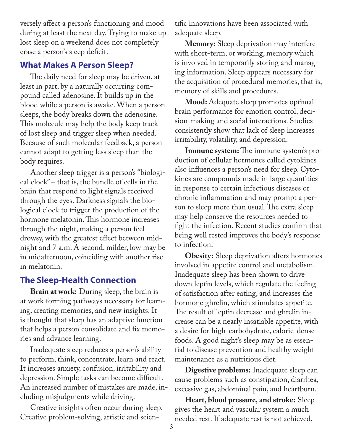versely affect a person's functioning and mood during at least the next day. Trying to make up lost sleep on a weekend does not completely erase a person's sleep deficit.

#### **What Makes A Person Sleep?**

The daily need for sleep may be driven, at least in part, by a naturally occurring compound called adenosine. It builds up in the blood while a person is awake. When a person sleeps, the body breaks down the adenosine. This molecule may help the body keep track of lost sleep and trigger sleep when needed. Because of such molecular feedback, a person cannot adapt to getting less sleep than the body requires.

Another sleep trigger is a person's "biological clock" – that is, the bundle of cells in the brain that respond to light signals received through the eyes. Darkness signals the biological clock to trigger the production of the hormone melatonin. This hormone increases through the night, making a person feel drowsy, with the greatest effect between midnight and 7 a.m. A second, milder, low may be in midafternoon, coinciding with another rise in melatonin.

#### **The Sleep-Health Connection**

**Brain at work:** During sleep, the brain is at work forming pathways necessary for learning, creating memories, and new insights. It is thought that sleep has an adaptive function that helps a person consolidate and fix memories and advance learning.

Inadequate sleep reduces a person's ability to perform, think, concentrate, learn and react. It increases anxiety, confusion, irritability and depression. Simple tasks can become difficult. An increased number of mistakes are made, including misjudgments while driving.

Creative insights often occur during sleep. Creative problem-solving, artistic and scientific innovations have been associated with adequate sleep.

**Memory:** Sleep deprivation may interfere with short-term, or working, memory which is involved in temporarily storing and managing information. Sleep appears necessary for the acquisition of procedural memories, that is, memory of skills and procedures.

**Mood:** Adequate sleep promotes optimal brain performance for emotion control, decision-making and social interactions. Studies consistently show that lack of sleep increases irritability, volatility, and depression.

**Immune system:** The immune system's production of cellular hormones called cytokines also influences a person's need for sleep. Cytokines are compounds made in large quantities in response to certain infectious diseases or chronic inflammation and may prompt a person to sleep more than usual. The extra sleep may help conserve the resources needed to fight the infection. Recent studies confirm that being well rested improves the body's response to infection.

**Obesity:** Sleep deprivation alters hormones involved in appetite control and metabolism. Inadequate sleep has been shown to drive down leptin levels, which regulate the feeling of satisfaction after eating, and increases the hormone ghrelin, which stimulates appetite. The result of leptin decrease and ghrelin increase can be a nearly insatiable appetite, with a desire for high-carbohydrate, calorie-dense foods. A good night's sleep may be as essential to disease prevention and healthy weight maintenance as a nutritious diet.

**Digestive problems:** Inadequate sleep can cause problems such as constipation, diarrhea, excessive gas, abdominal pain, and heartburn.

**Heart, blood pressure, and stroke:** Sleep gives the heart and vascular system a much needed rest. If adequate rest is not achieved,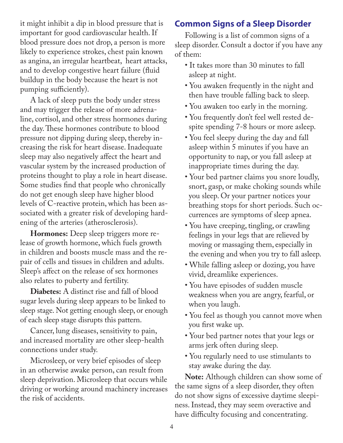it might inhibit a dip in blood pressure that is important for good cardiovascular health. If blood pressure does not drop, a person is more likely to experience strokes, chest pain known as angina, an irregular heartbeat, heart attacks, and to develop congestive heart failure (fluid buildup in the body because the heart is not pumping sufficiently).

A lack of sleep puts the body under stress and may trigger the release of more adrenaline, cortisol, and other stress hormones during the day. These hormones contribute to blood pressure not dipping during sleep, thereby increasing the risk for heart disease. Inadequate sleep may also negatively affect the heart and vascular system by the increased production of proteins thought to play a role in heart disease. Some studies find that people who chronically do not get enough sleep have higher blood levels of C-reactive protein, which has been associated with a greater risk of developing hardening of the arteries (atherosclerosis).

**Hormones:** Deep sleep triggers more release of growth hormone, which fuels growth in children and boosts muscle mass and the repair of cells and tissues in children and adults. Sleep's affect on the release of sex hormones also relates to puberty and fertility.

**Diabetes:** A distinct rise and fall of blood sugar levels during sleep appears to be linked to sleep stage. Not getting enough sleep, or enough of each sleep stage disrupts this pattern.

Cancer, lung diseases, sensitivity to pain, and increased mortality are other sleep-health connections under study.

Microsleep, or very brief episodes of sleep in an otherwise awake person, can result from sleep deprivation. Microsleep that occurs while driving or working around machinery increases the risk of accidents.

#### **Common Signs of a Sleep Disorder**

Following is a list of common signs of a sleep disorder. Consult a doctor if you have any of them:

- It takes more than 30 minutes to fall asleep at night.
- You awaken frequently in the night and then have trouble falling back to sleep.
- You awaken too early in the morning.
- You frequently don't feel well rested despite spending 7-8 hours or more asleep.
- You feel sleepy during the day and fall asleep within 5 minutes if you have an opportunity to nap, or you fall asleep at inappropriate times during the day.
- Your bed partner claims you snore loudly, snort, gasp, or make choking sounds while you sleep. Or your partner notices your breathing stops for short periods. Such occurrences are symptoms of sleep apnea.
- You have creeping, tingling, or crawling feelings in your legs that are relieved by moving or massaging them, especially in the evening and when you try to fall asleep.
- While falling asleep or dozing, you have vivid, dreamlike experiences.
- You have episodes of sudden muscle weakness when you are angry, fearful, or when you laugh.
- You feel as though you cannot move when you first wake up.
- Your bed partner notes that your legs or arms jerk often during sleep.
- You regularly need to use stimulants to stay awake during the day.

**Note:** Although children can show some of the same signs of a sleep disorder, they often do not show signs of excessive daytime sleepiness. Instead, they may seem overactive and have difficulty focusing and concentrating.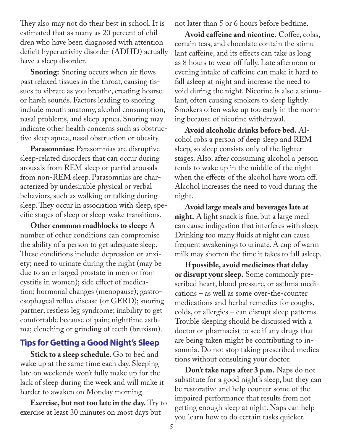They also may not do their best in school. It is estimated that as many as 20 percent of children who have been diagnosed with attention deficit hyperactivity disorder (ADHD) actually have a sleep disorder.

**Snoring:** Snoring occurs when air flows past relaxed tissues in the throat, causing tissues to vibrate as you breathe, creating hoarse or harsh sounds. Factors leading to snoring include mouth anatomy, alcohol consumption, nasal problems, and sleep apnea. Snoring may indicate other health concerns such as obstructive sleep apnea, nasal obstruction or obesity.

**Parasomnias:** Parasomnias are disruptive sleep-related disorders that can occur during arousals from REM sleep or partial arousals from non-REM sleep. Parasomnias are characterized by undesirable physical or verbal behaviors, such as walking or talking during sleep. They occur in association with sleep, specific stages of sleep or sleep-wake transitions.

**Other common roadblocks to sleep:** A number of other conditions can compromise the ability of a person to get adequate sleep. These conditions include: depression or anxiety; need to urinate during the night (may be due to an enlarged prostate in men or from cystitis in women); side effect of medication; hormonal changes (menopause); gastroesophageal reflux disease (or GERD); snoring partner; restless leg syndrome; inability to get comfortable because of pain; nighttime asthma; clenching or grinding of teeth (bruxism).

#### **Tips for Getting a Good Night's Sleep**

**Stick to a sleep schedule.** Go to bed and wake up at the same time each day. Sleeping late on weekends won't fully make up for the lack of sleep during the week and will make it harder to awaken on Monday morning.

**Exercise, but not too late in the day.** Try to exercise at least 30 minutes on most days but

not later than 5 or 6 hours before bedtime.

**Avoid caffeine and nicotine.** Coffee, colas, certain teas, and chocolate contain the stimulant caffeine, and its effects can take as long as 8 hours to wear off fully. Late afternoon or evening intake of caffeine can make it hard to fall asleep at night and increase the need to void during the night. Nicotine is also a stimulant, often causing smokers to sleep lightly. Smokers often wake up too early in the morning because of nicotine withdrawal.

**Avoid alcoholic drinks before bed.** Alcohol robs a person of deep sleep and REM sleep, so sleep consists only of the lighter stages. Also, after consuming alcohol a person tends to wake up in the middle of the night when the effects of the alcohol have worn off. Alcohol increases the need to void during the night.

**Avoid large meals and beverages late at night.** A light snack is fine, but a large meal can cause indigestion that interferes with sleep. Drinking too many fluids at night can cause frequent awakenings to urinate. A cup of warm milk may shorten the time it takes to fall asleep.

**If possible, avoid medicines that delay or disrupt your sleep.** Some commonly prescribed heart, blood pressure, or asthma medications – as well as some over-the-counter medications and herbal remedies for coughs, colds, or allergies – can disrupt sleep patterns. Trouble sleeping should be discussed with a doctor or pharmacist to see if any drugs that are being taken might be contributing to insomnia. Do not stop taking prescribed medications without consulting your doctor.

**Don't take naps after 3 p.m.** Naps do not substitute for a good night's sleep, but they can be restorative and help counter some of the impaired performance that results from not getting enough sleep at night. Naps can help you learn how to do certain tasks quicker.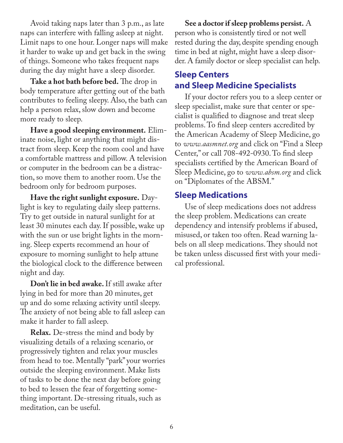Avoid taking naps later than 3 p.m., as late naps can interfere with falling asleep at night. Limit naps to one hour. Longer naps will make it harder to wake up and get back in the swing of things. Someone who takes frequent naps during the day might have a sleep disorder.

**Take a hot bath before bed.** The drop in body temperature after getting out of the bath contributes to feeling sleepy. Also, the bath can help a person relax, slow down and become more ready to sleep.

**Have a good sleeping environment.** Eliminate noise, light or anything that might distract from sleep. Keep the room cool and have a comfortable mattress and pillow. A television or computer in the bedroom can be a distraction, so move them to another room. Use the bedroom only for bedroom purposes.

**Have the right sunlight exposure.** Daylight is key to regulating daily sleep patterns. Try to get outside in natural sunlight for at least 30 minutes each day. If possible, wake up with the sun or use bright lights in the morning. Sleep experts recommend an hour of exposure to morning sunlight to help attune the biological clock to the difference between night and day.

**Don't lie in bed awake.** If still awake after lying in bed for more than 20 minutes, get up and do some relaxing activity until sleepy. The anxiety of not being able to fall asleep can make it harder to fall asleep.

**Relax.** De-stress the mind and body by visualizing details of a relaxing scenario, or progressively tighten and relax your muscles from head to toe. Mentally "park" your worries outside the sleeping environment. Make lists of tasks to be done the next day before going to bed to lessen the fear of forgetting something important. De-stressing rituals, such as meditation, can be useful.

**See a doctor if sleep problems persist.** A person who is consistently tired or not well rested during the day, despite spending enough time in bed at night, might have a sleep disorder. A family doctor or sleep specialist can help.

#### **Sleep Centers and Sleep Medicine Specialists**

If your doctor refers you to a sleep center or sleep specialist, make sure that center or specialist is qualified to diagnose and treat sleep problems. To find sleep centers accredited by the American Academy of Sleep Medicine, go to *www.aasmnet.org* and click on "Find a Sleep Center," or call 708-492-0930. To find sleep specialists certified by the American Board of Sleep Medicine, go to *www.absm.org* and click on "Diplomates of the ABSM."

#### **Sleep Medications**

Use of sleep medications does not address the sleep problem. Medications can create dependency and intensify problems if abused, misused, or taken too often. Read warning labels on all sleep medications. They should not be taken unless discussed first with your medical professional.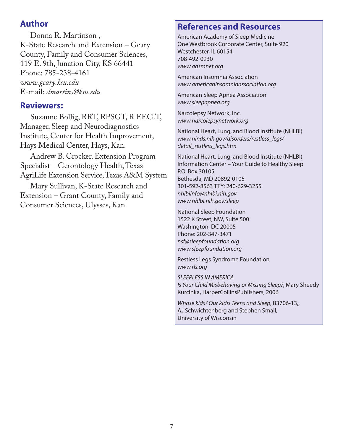#### **Author**

Donna R. Martinson , K-State Research and Extension – Geary County, Family and Consumer Sciences, 119 E. 9th, Junction City, KS 66441 Phone: 785-238-4161 *www.geary.ksu.edu* E-mail: *dmartins@ksu.edu*

#### **Reviewers:**

Suzanne Bollig, RRT, RPSGT, R EEG.T, Manager, Sleep and Neurodiagnostics Institute, Center for Health Improvement, Hays Medical Center, Hays, Kan.

Andrew B. Crocker, Extension Program Specialist – Gerontology Health, Texas AgriLife Extension Service, Texas A&M System

Mary Sullivan, K-State Research and Extension – Grant County, Family and Consumer Sciences, Ulysses, Kan.

#### **References and Resources**

American Academy of Sleep Medicine One Westbrook Corporate Center, Suite 920 Westchester, IL 60154 708-492-0930 *www.aasmnet.org*

American Insomnia Association *www.americaninsomniaassociation.org*

American Sleep Apnea Association *www.sleepapnea.org*

Narcolepsy Network, Inc. *www.narcolepsynetwork.org*

National Heart, Lung, and Blood Institute (NHLBI) *www.ninds.nih.gov/disorders/restless\_legs/ detail\_restless\_legs.htm*

National Heart, Lung, and Blood Institute (NHLBI) Information Center – Your Guide to Healthy Sleep P.O. Box 30105 Bethesda, MD 20892-0105 301-592-8563 TTY: 240-629-3255 *nhlbiinfo@nhlbi.nih.gov www.nhlbi.nih.gov/sleep*

National Sleep Foundation 1522 K Street, NW, Suite 500 Washington, DC 20005 Phone: 202-347-3471 *nsf@sleepfoundation.org www.sleepfoundation.org*

Restless Legs Syndrome Foundation *www.rls.org* 

*SLEEPLESS IN AMERICA Is Your Child Misbehaving or Missing Sleep?*, Mary Sheedy Kurcinka, HarperCollinsPublishers, 2006

*Whose kids? Our kids! Teens and Sleep*, B3706-13,, AJ Schwichtenberg and Stephen Small, University of Wisconsin